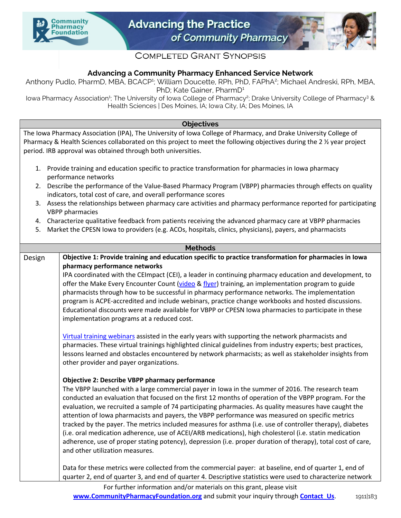



# **COMPLETED GRANT SYNOPSIS**

# **Advancing a Community Pharmacy Enhanced Service Network**

Anthony Pudlo, PharmD, MBA, BCACP<sup>1</sup>; William Doucette, RPh, PhD, FAPhA<sup>2</sup>; Michael Andreski, RPh, MBA, PhD; Kate Gainer, PharmD<sup>1</sup>

lowa Pharmacy Association<sup>1</sup>; The University of Iowa College of Pharmacy<sup>2</sup>; Drake University College of Pharmacy<sup>3</sup> & Health Sciences | Des Moines, IA; Iowa City, IA; Des Moines, IA

## **Objectives**

The Iowa Pharmacy Association (IPA), The University of Iowa College of Pharmacy, and Drake University College of Pharmacy & Health Sciences collaborated on this project to meet the following objectives during the 2  $\frac{1}{2}$  year project period. IRB approval was obtained through both universities.

- 1. Provide training and education specific to practice transformation for pharmacies in Iowa pharmacy performance networks
- 2. Describe the performance of the Value-Based Pharmacy Program (VBPP) pharmacies through effects on quality indicators, total cost of care, and overall performance scores
- 3. Assess the relationships between pharmacy care activities and pharmacy performance reported for participating VBPP pharmacies
- 4. Characterize qualitative feedback from patients receiving the advanced pharmacy care at VBPP pharmacies
- 5. Market the CPESN Iowa to providers (e.g. ACOs, hospitals, clinics, physicians), payers, and pharmacists

#### **Methods**

# Design **Objective 1: Provide training and education specific to practice transformation for pharmacies in Iowa pharmacy performance networks**

IPA coordinated with the CEImpact (CEI), a leader in continuing pharmacy education and development, to offer the Make Every Encounter Count [\(video](https://vimeo.com/332499115/5237c30da0) & [flyer\)](https://communitypharmacyfoundation.org/resources/grant_docs/CPFGrantDoc_22870.pdf) training, an implementation program to guide pharmacists through how to be successful in pharmacy performance networks. The implementation program is ACPE-accredited and include webinars, practice change workbooks and hosted discussions. Educational discounts were made available for VBPP or CPESN Iowa pharmacies to participate in these implementation programs at a reduced cost.

[Virtual training webinars](https://communitypharmacyfoundation.org/resources/grant_docs/CPFGrantDoc_56248.xlsx) assisted in the early years with supporting the network pharmacists and pharmacies. These virtual trainings highlighted clinical guidelines from industry experts; best practices, lessons learned and obstacles encountered by network pharmacists; as well as stakeholder insights from other provider and payer organizations.

## **Objective 2: Describe VBPP pharmacy performance**

The VBPP launched with a large commercial payer in Iowa in the summer of 2016. The research team conducted an evaluation that focused on the first 12 months of operation of the VBPP program. For the evaluation, we recruited a sample of 74 participating pharmacies. As quality measures have caught the attention of Iowa pharmacists and payers, the VBPP performance was measured on specific metrics tracked by the payer. The metrics included measures for asthma (i.e. use of controller therapy), diabetes (i.e. oral medication adherence, use of ACEI/ARB medications), high cholesterol (i.e. statin medication adherence, use of proper stating potency), depression (i.e. proper duration of therapy), total cost of care, and other utilization measures.

Data for these metrics were collected from the commercial payer: at baseline, end of quarter 1, end of quarter 2, end of quarter 3, and end of quarter 4. Descriptive statistics were used to characterize network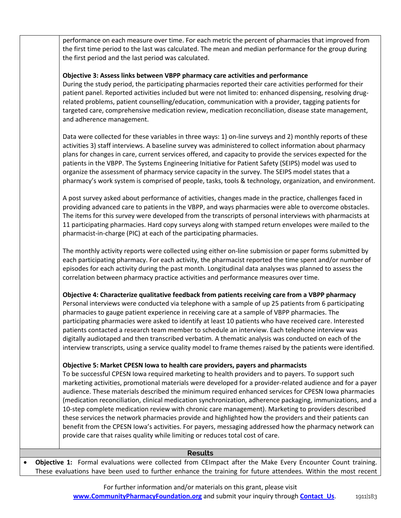performance on each measure over time. For each metric the percent of pharmacies that improved from the first time period to the last was calculated. The mean and median performance for the group during the first period and the last period was calculated.

## **Objective 3: Assess links between VBPP pharmacy care activities and performance**

During the study period, the participating pharmacies reported their care activities performed for their patient panel. Reported activities included but were not limited to: enhanced dispensing, resolving drugrelated problems, patient counselling/education, communication with a provider, tagging patients for targeted care, comprehensive medication review, medication reconciliation, disease state management, and adherence management.

Data were collected for these variables in three ways: 1) on-line surveys and 2) monthly reports of these activities 3) staff interviews. A baseline survey was administered to collect information about pharmacy plans for changes in care, current services offered, and capacity to provide the services expected for the patients in the VBPP. The Systems Engineering Initiative for Patient Safety (SEIPS) model was used to organize the assessment of pharmacy service capacity in the survey. The SEIPS model states that a pharmacy's work system is comprised of people, tasks, tools & technology, organization, and environment.

A post survey asked about performance of activities, changes made in the practice, challenges faced in providing advanced care to patients in the VBPP, and ways pharmacies were able to overcome obstacles. The items for this survey were developed from the transcripts of personal interviews with pharmacists at 11 participating pharmacies. Hard copy surveys along with stamped return envelopes were mailed to the pharmacist-in-charge (PIC) at each of the participating pharmacies.

The monthly activity reports were collected using either on-line submission or paper forms submitted by each participating pharmacy. For each activity, the pharmacist reported the time spent and/or number of episodes for each activity during the past month. Longitudinal data analyses was planned to assess the correlation between pharmacy practice activities and performance measures over time.

## **Objective 4: Characterize qualitative feedback from patients receiving care from a VBPP pharmacy**

Personal interviews were conducted via telephone with a sample of up 25 patients from 6 participating pharmacies to gauge patient experience in receiving care at a sample of VBPP pharmacies. The participating pharmacies were asked to identify at least 10 patients who have received care. Interested patients contacted a research team member to schedule an interview. Each telephone interview was digitally audiotaped and then transcribed verbatim. A thematic analysis was conducted on each of the interview transcripts, using a service quality model to frame themes raised by the patients were identified.

## **Objective 5: Market CPESN Iowa to health care providers, payers and pharmacists**

To be successful CPESN Iowa required marketing to health providers and to payers. To support such marketing activities, promotional materials were developed for a provider-related audience and for a payer audience. These materials described the minimum required enhanced services for CPESN Iowa pharmacies (medication reconciliation, clinical medication synchronization, adherence packaging, immunizations, and a 10-step complete medication review with chronic care management). Marketing to providers described these services the network pharmacies provide and highlighted how the providers and their patients can benefit from the CPESN Iowa's activities. For payers, messaging addressed how the pharmacy network can provide care that raises quality while limiting or reduces total cost of care.

#### **Results**

• **Objective 1:** Formal evaluations were collected from CEImpact after the Make Every Encounter Count training. These evaluations have been used to further enhance the training for future attendees. Within the most recent

> For further information and/or materials on this grant, please visit **[www.CommunityPharmacyFoundation.org](http://www.CommunityPharmacyFoundation.org)** and submit your inquiry through **Contact Us.** 1911|183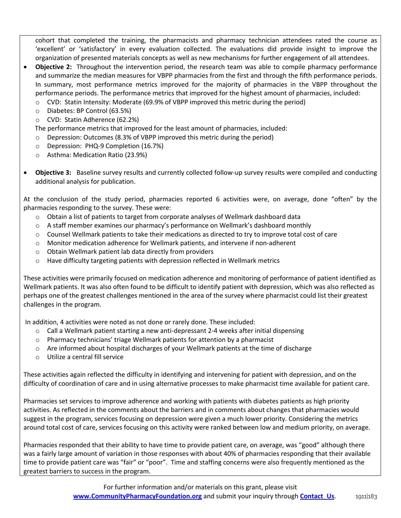cohort that completed the training, the pharmacists and pharmacy technician attendees rated the course as 'excellent' or 'satisfactory' in every evaluation collected. The evaluations did provide insight to improve the organization of presented materials concepts as well as new mechanisms for further engagement of all attendees.

- **Objective 2:** Throughout the intervention period, the research team was able to compile pharmacy performance and summarize the median measures for VBPP pharmacies from the first and through the fifth performance periods. In summary, most performance metrics improved for the majority of pharmacies in the VBPP throughout the performance periods. The performance metrics that improved for the highest amount of pharmacies, included:
	- $\circ$  CVD: Statin Intensity: Moderate (69.9% of VBPP improved this metric during the period)
	- o Diabetes: BP Control (63.5%)
	- o CVD: Statin Adherence (62.2%)

The performance metrics that improved for the least amount of pharmacies, included:

- o Depression: Outcomes (8.3% of VBPP improved this metric during the period)
- o Depression: PHQ-9 Completion (16.7%)
- o Asthma: Medication Ratio (23.9%)
- **Objective 3:** Baseline survey results and currently collected follow-up survey results were compiled and conducting additional analysis for publication.

At the conclusion of the study period, pharmacies reported 6 activities were, on average, done "often" by the pharmacies responding to the survey. These were:

- $\circ$  Obtain a list of patients to target from corporate analyses of Wellmark dashboard data
- o A staff member examines our pharmacy's performance on Wellmark's dashboard monthly
- $\circ$  Counsel Wellmark patients to take their medications as directed to try to improve total cost of care
- $\circ$  Monitor medication adherence for Wellmark patients, and intervene if non-adherent
- o Obtain Wellmark patient lab data directly from providers
- $\circ$  Have difficulty targeting patients with depression reflected in Wellmark metrics

These activities were primarily focused on medication adherence and monitoring of performance of patient identified as Wellmark patients. It was also often found to be difficult to identify patient with depression, which was also reflected as perhaps one of the greatest challenges mentioned in the area of the survey where pharmacist could list their greatest challenges in the program.

In addition, 4 activities were noted as not done or rarely done. These included:

- o Call a Wellmark patient starting a new anti-depressant 2-4 weeks after initial dispensing
- o Pharmacy technicians' triage Wellmark patients for attention by a pharmacist
- $\circ$  Are informed about hospital discharges of your Wellmark patients at the time of discharge
- o Utilize a central fill service

These activities again reflected the difficulty in identifying and intervening for patient with depression, and on the difficulty of coordination of care and in using alternative processes to make pharmacist time available for patient care.

Pharmacies set services to improve adherence and working with patients with diabetes patients as high priority activities. As reflected in the comments about the barriers and in comments about changes that pharmacies would suggest in the program, services focusing on depression were given a much lower priority. Considering the metrics around total cost of care, services focusing on this activity were ranked between low and medium priority, on average.

Pharmacies responded that their ability to have time to provide patient care, on average, was "good" although there was a fairly large amount of variation in those responses with about 40% of pharmacies responding that their available time to provide patient care was "fair" or "poor". Time and staffing concerns were also frequently mentioned as the greatest barriers to success in the program.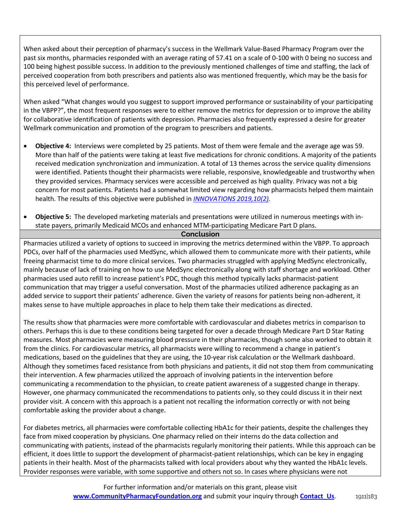When asked about their perception of pharmacy's success in the Wellmark Value-Based Pharmacy Program over the past six months, pharmacies responded with an average rating of 57.41 on a scale of 0-100 with 0 being no success and 100 being highest possible success. In addition to the previously mentioned challenges of time and staffing, the lack of perceived cooperation from both prescribers and patients also was mentioned frequently, which may be the basis for this perceived level of performance.

When asked "What changes would you suggest to support improved performance or sustainability of your participating in the VBPP?", the most frequent responses were to either remove the metrics for depression or to improve the ability for collaborative identification of patients with depression. Pharmacies also frequently expressed a desire for greater Wellmark communication and promotion of the program to prescribers and patients.

- **Objective 4:** Interviews were completed by 25 patients. Most of them were female and the average age was 59. More than half of the patients were taking at least five medications for chronic conditions. A majority of the patients received medication synchronization and immunization. A total of 13 themes across the service quality dimensions were identified. Patients thought their pharmacists were reliable, responsive, knowledgeable and trustworthy when they provided services. Pharmacy services were accessible and perceived as high quality. Privacy was not a big concern for most patients. Patients had a somewhat limited view regarding how pharmacists helped them maintain health. The results of this objective were published in *INNOVATIONS 2019,10(2).*
- **Objective 5:** The developed marketing materials and presentations were utilized in numerous meetings with instate payers, primarily Medicaid MCOs and enhanced MTM-participating Medicare Part D plans.

#### **Conclusion**

Pharmacies utilized a variety of options to succeed in improving the metrics determined within the VBPP. To approach PDCs, over half of the pharmacies used MedSync, which allowed them to communicate more with their patients, while freeing pharmacist time to do more clinical services. Two pharmacies struggled with applying MedSync electronically, mainly because of lack of training on how to use MedSync electronically along with staff shortage and workload. Other pharmacies used auto refill to increase patient's PDC, though this method typically lacks pharmacist-patient communication that may trigger a useful conversation. Most of the pharmacies utilized adherence packaging as an added service to support their patients' adherence. Given the variety of reasons for patients being non-adherent, it makes sense to have multiple approaches in place to help them take their medications as directed.

The results show that pharmacies were more comfortable with cardiovascular and diabetes metrics in comparison to others. Perhaps this is due to these conditions being targeted for over a decade through Medicare Part D Star Rating measures. Most pharmacies were measuring blood pressure in their pharmacies, though some also worked to obtain it from the clinics. For cardiovascular metrics, all pharmacists were willing to recommend a change in patient's medications, based on the guidelines that they are using, the 10-year risk calculation or the Wellmark dashboard. Although they sometimes faced resistance from both physicians and patients, it did not stop them from communicating their intervention. A few pharmacies utilized the approach of involving patients in the intervention before communicating a recommendation to the physician, to create patient awareness of a suggested change in therapy. However, one pharmacy communicated the recommendations to patients only, so they could discuss it in their next provider visit. A concern with this approach is a patient not recalling the information correctly or with not being comfortable asking the provider about a change.

For diabetes metrics, all pharmacies were comfortable collecting HbA1c for their patients, despite the challenges they face from mixed cooperation by physicians. One pharmacy relied on their interns do the data collection and communicating with patients, instead of the pharmacists regularly monitoring their patients. While this approach can be efficient, it does little to support the development of pharmacist-patient relationships, which can be key in engaging patients in their health. Most of the pharmacists talked with local providers about why they wanted the HbA1c levels. Provider responses were variable, with some supportive and others not so. In cases where physicians were not

> For further information and/or materials on this grant, please visit **[www.CommunityPharmacyFoundation.org](http://www.CommunityPharmacyFoundation.org)** and submit your inquiry through **Contact Us.** 1911|183